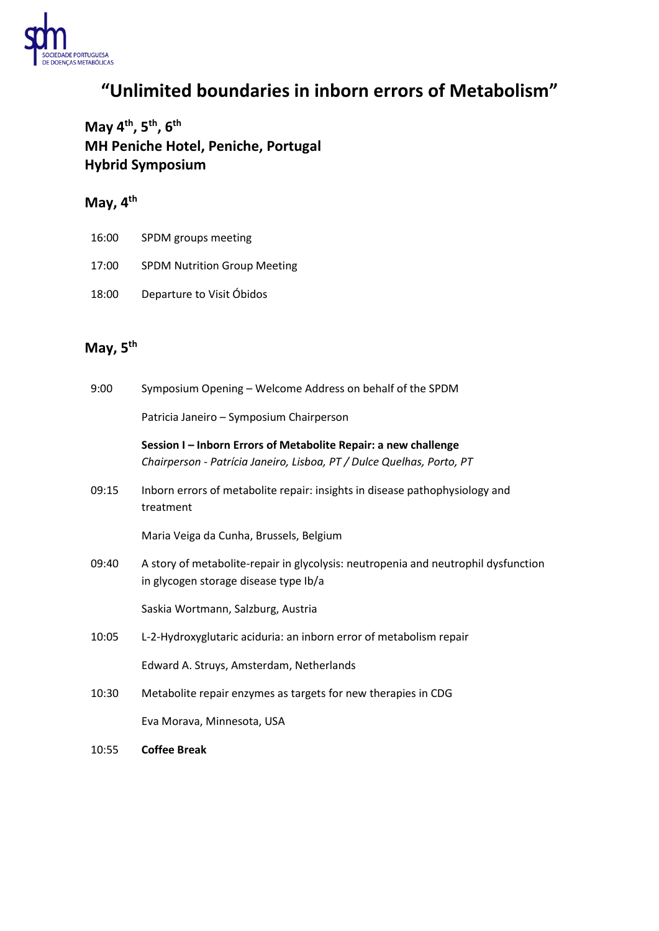

## **"Unlimited boundaries in inborn errors of Metabolism"**

**May 4 th , 5 th , 6 th MH Peniche Hotel, Peniche, Portugal Hybrid Symposium**

### **May, 4 th**

- 16:00 SPDM groups meeting
- 17:00 SPDM Nutrition Group Meeting
- 18:00 Departure to Visit Óbidos

### **May, 5 th**

| 9:00  | Symposium Opening - Welcome Address on behalf of the SPDM                                                                                |
|-------|------------------------------------------------------------------------------------------------------------------------------------------|
|       | Patricia Janeiro - Symposium Chairperson                                                                                                 |
|       | Session I - Inborn Errors of Metabolite Repair: a new challenge<br>Chairperson - Patrícia Janeiro, Lisboa, PT / Dulce Quelhas, Porto, PT |
| 09:15 | Inborn errors of metabolite repair: insights in disease pathophysiology and<br>treatment                                                 |
|       | Maria Veiga da Cunha, Brussels, Belgium                                                                                                  |
| 09:40 | A story of metabolite-repair in glycolysis: neutropenia and neutrophil dysfunction<br>in glycogen storage disease type Ib/a              |
|       | Saskia Wortmann, Salzburg, Austria                                                                                                       |
| 10:05 | L-2-Hydroxyglutaric aciduria: an inborn error of metabolism repair                                                                       |
|       | Edward A. Struys, Amsterdam, Netherlands                                                                                                 |
| 10:30 | Metabolite repair enzymes as targets for new therapies in CDG                                                                            |
|       | Eva Morava, Minnesota, USA                                                                                                               |
| 10:55 | <b>Coffee Break</b>                                                                                                                      |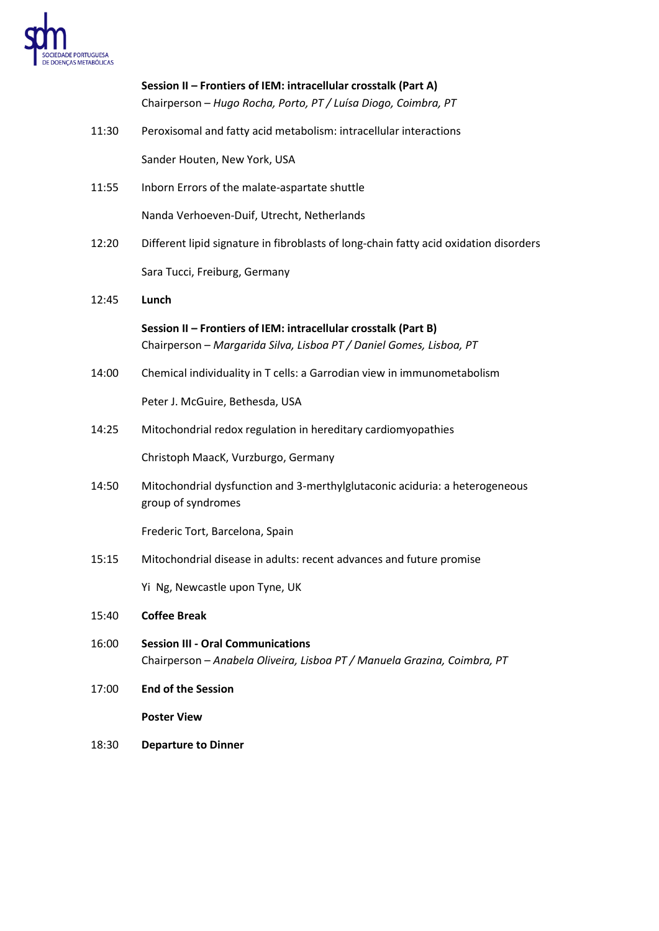

# **Session II – Frontiers of IEM: intracellular crosstalk (Part A)** Chairperson – *Hugo Rocha, Porto, PT / Luísa Diogo, Coimbra, PT* 11:30 Peroxisomal and fatty acid metabolism: intracellular interactions Sander Houten, New York, USA 11:55 Inborn Errors of the malate-aspartate shuttle Nanda Verhoeven-Duif, Utrecht, Netherlands 12:20 Different lipid signature in fibroblasts of long-chain fatty acid oxidation disorders Sara Tucci, Freiburg, Germany 12:45 **Lunch Session II – Frontiers of IEM: intracellular crosstalk (Part B)** Chairperson – *Margarida Silva, Lisboa PT / Daniel Gomes, Lisboa, PT* 14:00 Chemical individuality in T cells: a Garrodian view in immunometabolism Peter J. McGuire, Bethesda, USA 14:25 Mitochondrial redox regulation in hereditary cardiomyopathies Christoph MaacK, Vurzburgo, Germany 14:50 Mitochondrial dysfunction and 3-merthylglutaconic aciduria: a heterogeneous group of syndromes Frederic Tort, Barcelona, Spain 15:15 Mitochondrial disease in adults: recent advances and future promise Yi Ng, Newcastle upon Tyne, UK 15:40 **Coffee Break** 16:00 **Session III - Oral Communications** Chairperson – *Anabela Oliveira, Lisboa PT / Manuela Grazina, Coimbra, PT* 17:00 **End of the Session Poster View** 18:30 **Departure to Dinner**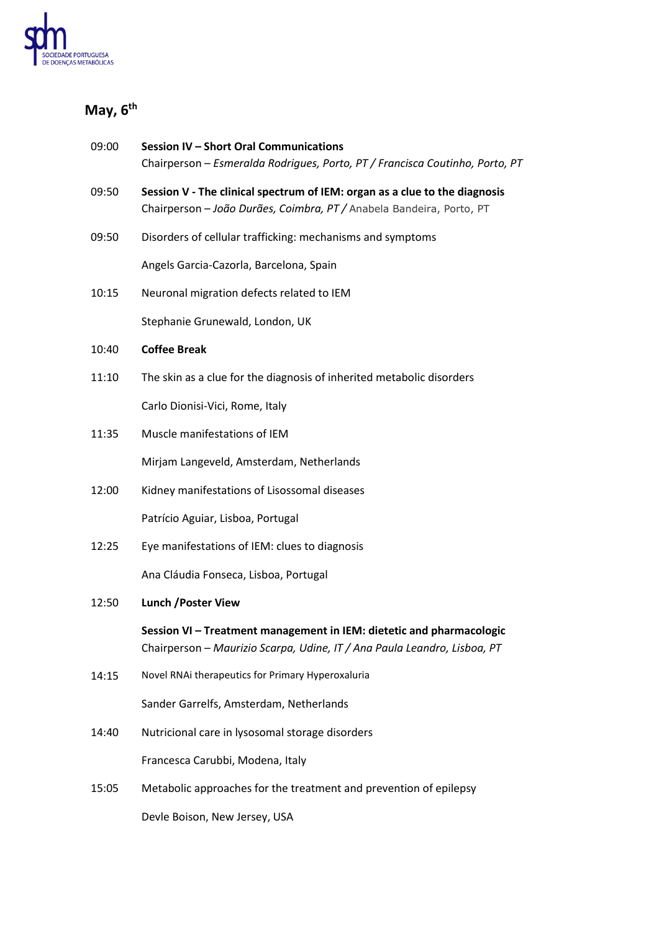

### **May, 6 th**

| 09:00 | Session IV - Short Oral Communications<br>Chairperson - Esmeralda Rodrigues, Porto, PT / Francisca Coutinho, Porto, PT                             |
|-------|----------------------------------------------------------------------------------------------------------------------------------------------------|
| 09:50 | Session V - The clinical spectrum of IEM: organ as a clue to the diagnosis<br>Chairperson - João Durães, Coimbra, PT / Anabela Bandeira, Porto, PT |
| 09:50 | Disorders of cellular trafficking: mechanisms and symptoms                                                                                         |
|       | Angels Garcia-Cazorla, Barcelona, Spain                                                                                                            |
| 10:15 | Neuronal migration defects related to IEM                                                                                                          |
|       | Stephanie Grunewald, London, UK                                                                                                                    |
| 10:40 | <b>Coffee Break</b>                                                                                                                                |
| 11:10 | The skin as a clue for the diagnosis of inherited metabolic disorders                                                                              |
|       | Carlo Dionisi-Vici, Rome, Italy                                                                                                                    |
| 11:35 | Muscle manifestations of IEM                                                                                                                       |
|       | Mirjam Langeveld, Amsterdam, Netherlands                                                                                                           |
| 12:00 | Kidney manifestations of Lisossomal diseases                                                                                                       |
|       | Patrício Aguiar, Lisboa, Portugal                                                                                                                  |
| 12:25 | Eye manifestations of IEM: clues to diagnosis                                                                                                      |
|       | Ana Cláudia Fonseca, Lisboa, Portugal                                                                                                              |
| 12:50 | <b>Lunch / Poster View</b>                                                                                                                         |
|       | Session VI - Treatment management in IEM: dietetic and pharmacologic<br>Chairperson - Maurizio Scarpa, Udine, IT / Ana Paula Leandro, Lisboa, PT   |
| 14:15 | Novel RNAi therapeutics for Primary Hyperoxaluria                                                                                                  |
|       | Sander Garrelfs, Amsterdam, Netherlands                                                                                                            |
| 14:40 | Nutricional care in lysosomal storage disorders                                                                                                    |
|       | Francesca Carubbi, Modena, Italy                                                                                                                   |
| 15:05 | Metabolic approaches for the treatment and prevention of epilepsy                                                                                  |
|       | Devle Boison, New Jersey, USA                                                                                                                      |
|       |                                                                                                                                                    |